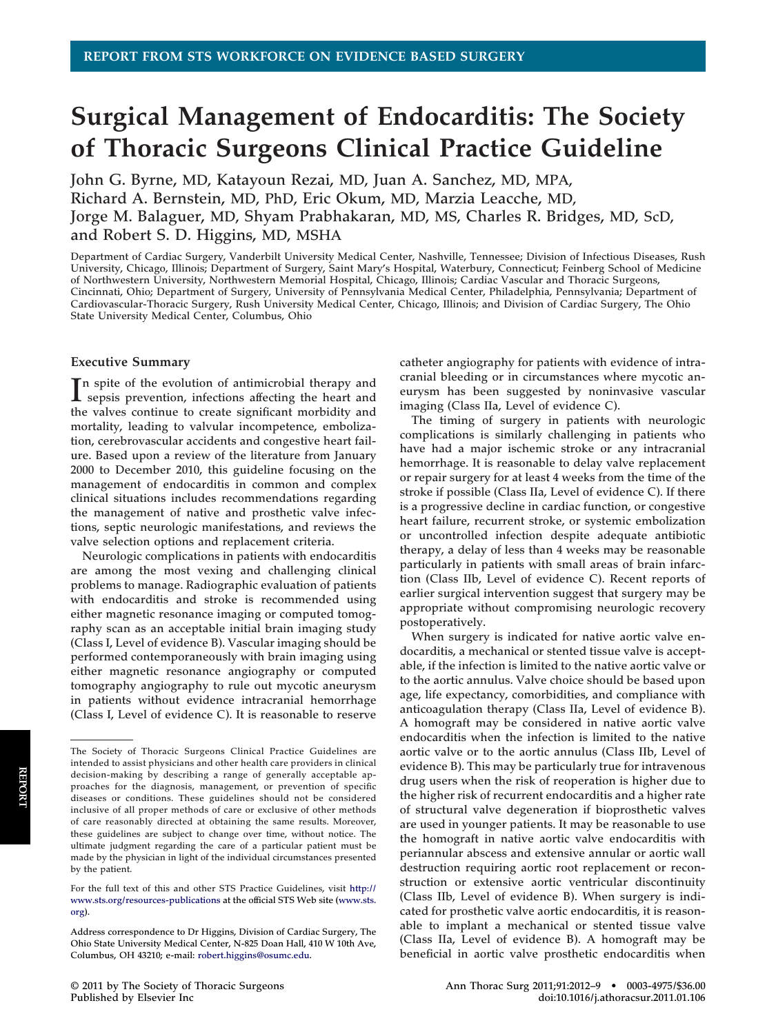# **Surgical Management of Endocarditis: The Society of Thoracic Surgeons Clinical Practice Guideline**

**John G. Byrne, MD, Katayoun Rezai, MD, Juan A. Sanchez, MD, MPA, Richard A. Bernstein, MD, PhD, Eric Okum, MD, Marzia Leacche, MD, Jorge M. Balaguer, MD, Shyam Prabhakaran, MD, MS, Charles R. Bridges, MD, ScD, and Robert S. D. Higgins, MD, MSHA**

**Department of Cardiac Surgery, Vanderbilt University Medical Center, Nashville, Tennessee; Division of Infectious Diseases, Rush University, Chicago, Illinois; Department of Surgery, Saint Mary's Hospital, Waterbury, Connecticut; Feinberg School of Medicine of Northwestern University, Northwestern Memorial Hospital, Chicago, Illinois; Cardiac Vascular and Thoracic Surgeons, Cincinnati, Ohio; Department of Surgery, University of Pennsylvania Medical Center, Philadelphia, Pennsylvania; Department of Cardiovascular-Thoracic Surgery, Rush University Medical Center, Chicago, Illinois; and Division of Cardiac Surgery, The Ohio State University Medical Center, Columbus, Ohio**

#### **Executive Summary**

In spite of the evolution of antimicrobial therapy and<br>sepsis prevention, infections affecting the heart and **sepsis prevention, infections affecting the heart and the valves continue to create significant morbidity and mortality, leading to valvular incompetence, embolization, cerebrovascular accidents and congestive heart failure. Based upon a review of the literature from January 2000 to December 2010, this guideline focusing on the management of endocarditis in common and complex clinical situations includes recommendations regarding the management of native and prosthetic valve infections, septic neurologic manifestations, and reviews the valve selection options and replacement criteria.**

**Neurologic complications in patients with endocarditis are among the most vexing and challenging clinical problems to manage. Radiographic evaluation of patients with endocarditis and stroke is recommended using either magnetic resonance imaging or computed tomography scan as an acceptable initial brain imaging study (Class I, Level of evidence B). Vascular imaging should be performed contemporaneously with brain imaging using either magnetic resonance angiography or computed tomography angiography to rule out mycotic aneurysm in patients without evidence intracranial hemorrhage (Class I, Level of evidence C). It is reasonable to reserve** **catheter angiography for patients with evidence of intracranial bleeding or in circumstances where mycotic aneurysm has been suggested by noninvasive vascular imaging (Class IIa, Level of evidence C).**

**The timing of surgery in patients with neurologic complications is similarly challenging in patients who have had a major ischemic stroke or any intracranial hemorrhage. It is reasonable to delay valve replacement or repair surgery for at least 4 weeks from the time of the stroke if possible (Class IIa, Level of evidence C). If there is a progressive decline in cardiac function, or congestive heart failure, recurrent stroke, or systemic embolization or uncontrolled infection despite adequate antibiotic therapy, a delay of less than 4 weeks may be reasonable particularly in patients with small areas of brain infarction (Class IIb, Level of evidence C). Recent reports of earlier surgical intervention suggest that surgery may be appropriate without compromising neurologic recovery postoperatively.**

**When surgery is indicated for native aortic valve endocarditis, a mechanical or stented tissue valve is acceptable, if the infection is limited to the native aortic valve or to the aortic annulus. Valve choice should be based upon age, life expectancy, comorbidities, and compliance with anticoagulation therapy (Class IIa, Level of evidence B). A homograft may be considered in native aortic valve endocarditis when the infection is limited to the native aortic valve or to the aortic annulus (Class IIb, Level of evidence B). This may be particularly true for intravenous drug users when the risk of reoperation is higher due to the higher risk of recurrent endocarditis and a higher rate of structural valve degeneration if bioprosthetic valves are used in younger patients. It may be reasonable to use the homograft in native aortic valve endocarditis with periannular abscess and extensive annular or aortic wall destruction requiring aortic root replacement or reconstruction or extensive aortic ventricular discontinuity (Class IIb, Level of evidence B). When surgery is indicated for prosthetic valve aortic endocarditis, it is reasonable to implant a mechanical or stented tissue valve (Class IIa, Level of evidence B). A homograft may be beneficial in aortic valve prosthetic endocarditis when**

**The Society of Thoracic Surgeons Clinical Practice Guidelines are intended to assist physicians and other health care providers in clinical decision-making by describing a range of generally acceptable approaches for the diagnosis, management, or prevention of specific diseases or conditions. These guidelines should not be considered inclusive of all proper methods of care or exclusive of other methods of care reasonably directed at obtaining the same results. Moreover, these guidelines are subject to change over time, without notice. The ultimate judgment regarding the care of a particular patient must be made by the physician in light of the individual circumstances presented by the patient.**

**For the full text of this and other STS Practice Guidelines, visit [http://](http://www.sts.org/resources-publications) [www.sts.org/resources-publications](http://www.sts.org/resources-publications) at the official STS Web site [\(www.sts.](http://www.sts.org) [org\)](http://www.sts.org).**

**Address correspondence to Dr Higgins, Division of Cardiac Surgery, The Ohio State University Medical Center, N-825 Doan Hall, 410 W 10th Ave, Columbus, OH 43210; e-mail: [robert.higgins@osumc.edu.](mailto:robert.higgins@osumc.edu)**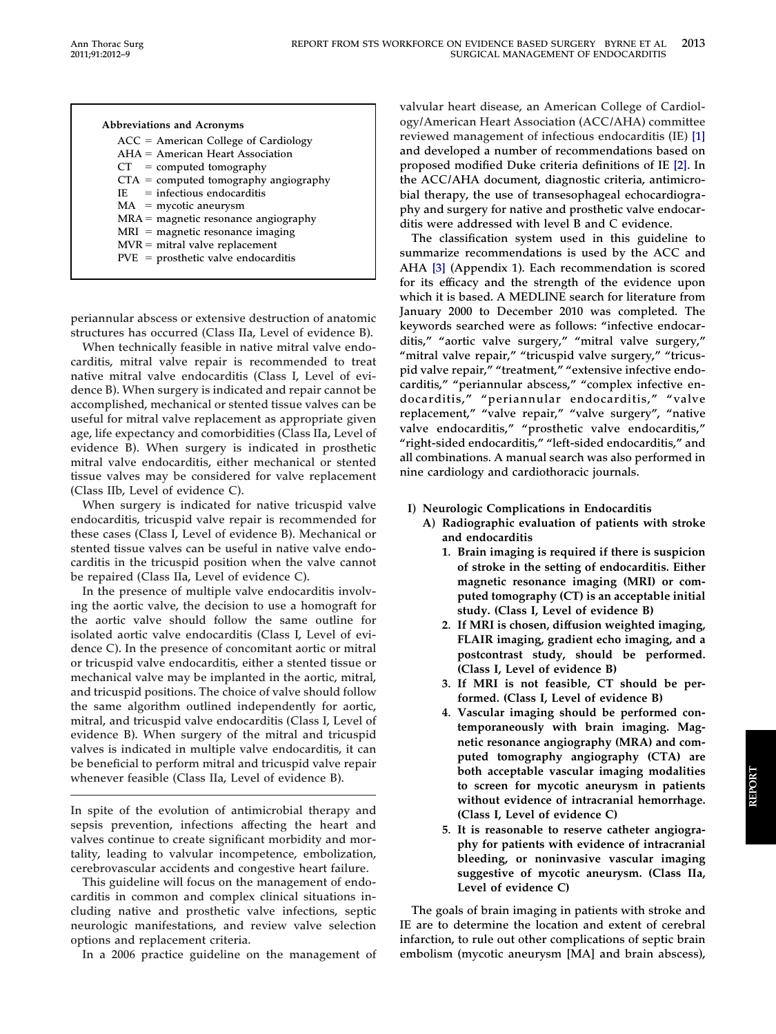**ACC American College of Cardiology AHA American Heart Association CT computed tomography CTA computed tomography angiography IE infectious endocarditis MA mycotic aneurysm MRA magnetic resonance angiography MRI magnetic resonance imaging**  $MVR =$  mitral valve replacement **PVE prosthetic valve endocarditis**

**periannular abscess or extensive destruction of anatomic structures has occurred (Class IIa, Level of evidence B).**

**When technically feasible in native mitral valve endocarditis, mitral valve repair is recommended to treat native mitral valve endocarditis (Class I, Level of evidence B). When surgery is indicated and repair cannot be accomplished, mechanical or stented tissue valves can be useful for mitral valve replacement as appropriate given age, life expectancy and comorbidities (Class IIa, Level of evidence B). When surgery is indicated in prosthetic mitral valve endocarditis, either mechanical or stented tissue valves may be considered for valve replacement (Class IIb, Level of evidence C).**

**When surgery is indicated for native tricuspid valve endocarditis, tricuspid valve repair is recommended for these cases (Class I, Level of evidence B). Mechanical or stented tissue valves can be useful in native valve endocarditis in the tricuspid position when the valve cannot be repaired (Class IIa, Level of evidence C).**

**In the presence of multiple valve endocarditis involving the aortic valve, the decision to use a homograft for the aortic valve should follow the same outline for isolated aortic valve endocarditis (Class I, Level of evidence C). In the presence of concomitant aortic or mitral or tricuspid valve endocarditis, either a stented tissue or mechanical valve may be implanted in the aortic, mitral, and tricuspid positions. The choice of valve should follow the same algorithm outlined independently for aortic, mitral, and tricuspid valve endocarditis (Class I, Level of evidence B). When surgery of the mitral and tricuspid valves is indicated in multiple valve endocarditis, it can be beneficial to perform mitral and tricuspid valve repair whenever feasible (Class IIa, Level of evidence B).**

**In spite of the evolution of antimicrobial therapy and sepsis prevention, infections affecting the heart and valves continue to create significant morbidity and mortality, leading to valvular incompetence, embolization, cerebrovascular accidents and congestive heart failure.**

**This guideline will focus on the management of endocarditis in common and complex clinical situations including native and prosthetic valve infections, septic neurologic manifestations, and review valve selection options and replacement criteria.**

**In a 2006 practice guideline on the management of**

**valvular heart disease, an American College of Cardiology/American Heart Association (ACC/AHA) committee reviewed management of infectious endocarditis (IE) [\[1\]](#page-6-0) and developed a number of recommendations based on proposed modified Duke criteria definitions of IE [\[2\].](#page-6-1) In the ACC/AHA document, diagnostic criteria, antimicrobial therapy, the use of transesophageal echocardiography and surgery for native and prosthetic valve endocarditis were addressed with level B and C evidence.**

**The classification system used in this guideline to summarize recommendations is used by the ACC and AHA [\[3\]](#page-6-2) (Appendix 1). Each recommendation is scored for its efficacy and the strength of the evidence upon which it is based. A MEDLINE search for literature from January 2000 to December 2010 was completed. The keywords searched were as follows: "infective endocarditis," "aortic valve surgery," "mitral valve surgery," "mitral valve repair," "tricuspid valve surgery," "tricuspid valve repair," "treatment," "extensive infective endocarditis," "periannular abscess," "complex infective endocarditis," "periannular endocarditis," "valve replacement," "valve repair," "valve surgery", "native valve endocarditis," "prosthetic valve endocarditis," "right-sided endocarditis," "left-sided endocarditis," and all combinations. A manual search was also performed in nine cardiology and cardiothoracic journals.**

- **I) Neurologic Complications in Endocarditis**
	- **A) Radiographic evaluation of patients with stroke and endocarditis**
		- **1. Brain imaging is required if there is suspicion of stroke in the setting of endocarditis. Either magnetic resonance imaging (MRI) or computed tomography (CT) is an acceptable initial study. (Class I, Level of evidence B)**
		- **2. If MRI is chosen, diffusion weighted imaging, FLAIR imaging, gradient echo imaging, and a postcontrast study, should be performed. (Class I, Level of evidence B)**
		- **3. If MRI is not feasible, CT should be performed. (Class I, Level of evidence B)**
		- **4. Vascular imaging should be performed contemporaneously with brain imaging. Magnetic resonance angiography (MRA) and computed tomography angiography (CTA) are both acceptable vascular imaging modalities to screen for mycotic aneurysm in patients without evidence of intracranial hemorrhage. (Class I, Level of evidence C)**
		- **5. It is reasonable to reserve catheter angiography for patients with evidence of intracranial bleeding, or noninvasive vascular imaging suggestive of mycotic aneurysm. (Class IIa, Level of evidence C)**

**The goals of brain imaging in patients with stroke and IE are to determine the location and extent of cerebral infarction, to rule out other complications of septic brain embolism (mycotic aneurysm [MA] and brain abscess),**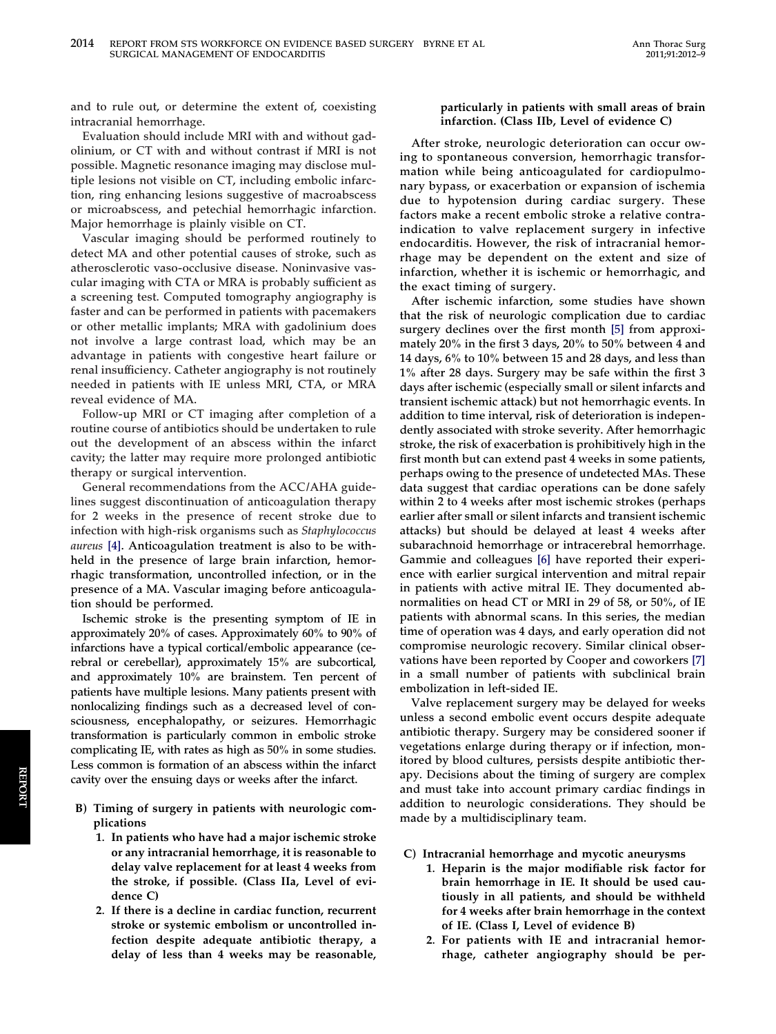**and to rule out, or determine the extent of, coexisting intracranial hemorrhage.**

**Evaluation should include MRI with and without gadolinium, or CT with and without contrast if MRI is not possible. Magnetic resonance imaging may disclose multiple lesions not visible on CT, including embolic infarction, ring enhancing lesions suggestive of macroabscess or microabscess, and petechial hemorrhagic infarction. Major hemorrhage is plainly visible on CT.**

**Vascular imaging should be performed routinely to detect MA and other potential causes of stroke, such as atherosclerotic vaso-occlusive disease. Noninvasive vascular imaging with CTA or MRA is probably sufficient as a screening test. Computed tomography angiography is faster and can be performed in patients with pacemakers or other metallic implants; MRA with gadolinium does not involve a large contrast load, which may be an advantage in patients with congestive heart failure or renal insufficiency. Catheter angiography is not routinely needed in patients with IE unless MRI, CTA, or MRA reveal evidence of MA.**

**Follow-up MRI or CT imaging after completion of a routine course of antibiotics should be undertaken to rule out the development of an abscess within the infarct cavity; the latter may require more prolonged antibiotic therapy or surgical intervention.**

**General recommendations from the ACC/AHA guidelines suggest discontinuation of anticoagulation therapy for 2 weeks in the presence of recent stroke due to infection with high-risk organisms such as** *Staphylococcus aureus* **[\[4\].](#page-6-3) Anticoagulation treatment is also to be withheld in the presence of large brain infarction, hemorrhagic transformation, uncontrolled infection, or in the presence of a MA. Vascular imaging before anticoagulation should be performed.**

**Ischemic stroke is the presenting symptom of IE in approximately 20% of cases. Approximately 60% to 90% of infarctions have a typical cortical/embolic appearance (cerebral or cerebellar), approximately 15% are subcortical, and approximately 10% are brainstem. Ten percent of patients have multiple lesions. Many patients present with nonlocalizing findings such as a decreased level of consciousness, encephalopathy, or seizures. Hemorrhagic transformation is particularly common in embolic stroke complicating IE, with rates as high as 50% in some studies. Less common is formation of an abscess within the infarct cavity over the ensuing days or weeks after the infarct.**

- **B) Timing of surgery in patients with neurologic complications**
	- **1. In patients who have had a major ischemic stroke or any intracranial hemorrhage, it is reasonable to delay valve replacement for at least 4 weeks from the stroke, if possible. (Class IIa, Level of evidence C)**
	- **2. If there is a decline in cardiac function, recurrent stroke or systemic embolism or uncontrolled infection despite adequate antibiotic therapy, a delay of less than 4 weeks may be reasonable,**

## **particularly in patients with small areas of brain infarction. (Class IIb, Level of evidence C)**

**After stroke, neurologic deterioration can occur owing to spontaneous conversion, hemorrhagic transformation while being anticoagulated for cardiopulmonary bypass, or exacerbation or expansion of ischemia due to hypotension during cardiac surgery. These factors make a recent embolic stroke a relative contraindication to valve replacement surgery in infective endocarditis. However, the risk of intracranial hemorrhage may be dependent on the extent and size of infarction, whether it is ischemic or hemorrhagic, and the exact timing of surgery.**

**After ischemic infarction, some studies have shown that the risk of neurologic complication due to cardiac surgery declines over the first month [\[5\]](#page-6-4) from approximately 20% in the first 3 days, 20% to 50% between 4 and 14 days, 6% to 10% between 15 and 28 days, and less than 1% after 28 days. Surgery may be safe within the first 3 days after ischemic (especially small or silent infarcts and transient ischemic attack) but not hemorrhagic events. In addition to time interval, risk of deterioration is independently associated with stroke severity. After hemorrhagic stroke, the risk of exacerbation is prohibitively high in the first month but can extend past 4 weeks in some patients, perhaps owing to the presence of undetected MAs. These data suggest that cardiac operations can be done safely within 2 to 4 weeks after most ischemic strokes (perhaps earlier after small or silent infarcts and transient ischemic attacks) but should be delayed at least 4 weeks after subarachnoid hemorrhage or intracerebral hemorrhage. Gammie and colleagues [\[6\]](#page-6-5) have reported their experience with earlier surgical intervention and mitral repair in patients with active mitral IE. They documented abnormalities on head CT or MRI in 29 of 58, or 50%, of IE patients with abnormal scans. In this series, the median time of operation was 4 days, and early operation did not compromise neurologic recovery. Similar clinical observations have been reported by Cooper and coworkers [\[7\]](#page-6-6) in a small number of patients with subclinical brain embolization in left-sided IE.**

**Valve replacement surgery may be delayed for weeks unless a second embolic event occurs despite adequate antibiotic therapy. Surgery may be considered sooner if vegetations enlarge during therapy or if infection, monitored by blood cultures, persists despite antibiotic therapy. Decisions about the timing of surgery are complex and must take into account primary cardiac findings in addition to neurologic considerations. They should be made by a multidisciplinary team.**

- **C) Intracranial hemorrhage and mycotic aneurysms**
	- **1. Heparin is the major modifiable risk factor for brain hemorrhage in IE. It should be used cautiously in all patients, and should be withheld for 4 weeks after brain hemorrhage in the context of IE. (Class I, Level of evidence B)**
	- **2. For patients with IE and intracranial hemorrhage, catheter angiography should be per-**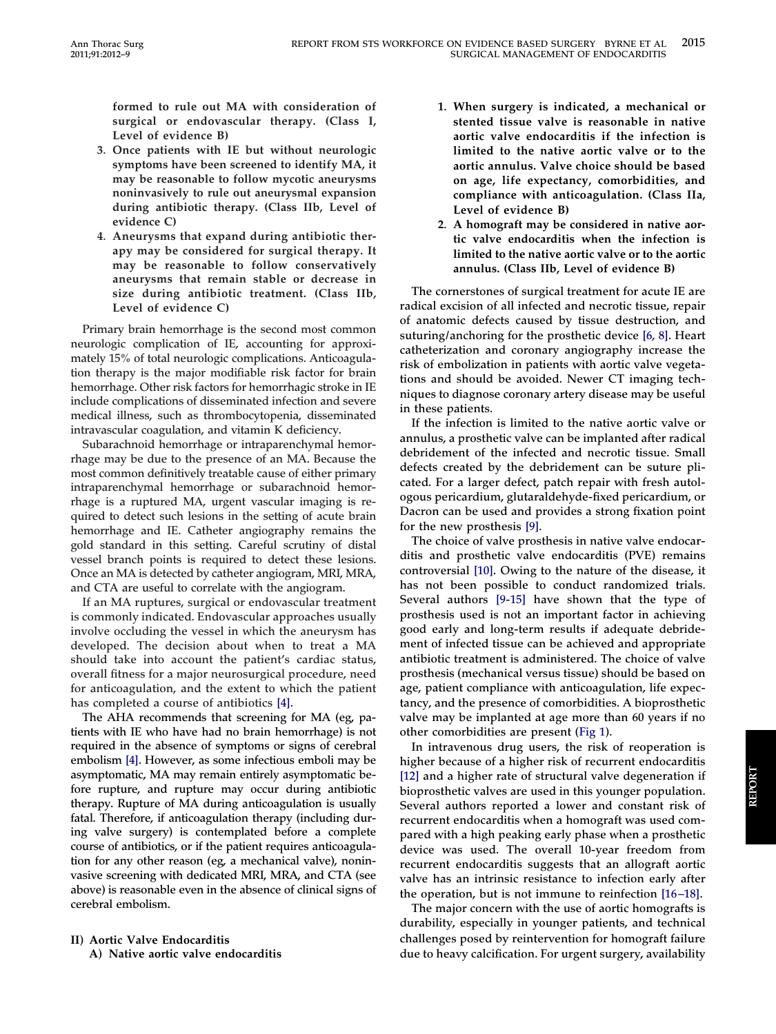**formed to rule out MA with consideration of surgical or endovascular therapy. (Class I, Level of evidence B)**

- **3. Once patients with IE but without neurologic symptoms have been screened to identify MA, it may be reasonable to follow mycotic aneurysms noninvasively to rule out aneurysmal expansion during antibiotic therapy. (Class IIb, Level of evidence C)**
- **4. Aneurysms that expand during antibiotic therapy may be considered for surgical therapy. It may be reasonable to follow conservatively aneurysms that remain stable or decrease in size during antibiotic treatment. (Class IIb, Level of evidence C)**

**Primary brain hemorrhage is the second most common neurologic complication of IE, accounting for approximately 15% of total neurologic complications. Anticoagulation therapy is the major modifiable risk factor for brain hemorrhage. Other risk factors for hemorrhagic stroke in IE include complications of disseminated infection and severe medical illness, such as thrombocytopenia, disseminated intravascular coagulation, and vitamin K deficiency.**

**Subarachnoid hemorrhage or intraparenchymal hemorrhage may be due to the presence of an MA. Because the most common definitively treatable cause of either primary intraparenchymal hemorrhage or subarachnoid hemorrhage is a ruptured MA, urgent vascular imaging is required to detect such lesions in the setting of acute brain hemorrhage and IE. Catheter angiography remains the gold standard in this setting. Careful scrutiny of distal vessel branch points is required to detect these lesions. Once an MA is detected by catheter angiogram, MRI, MRA, and CTA are useful to correlate with the angiogram.**

**If an MA ruptures, surgical or endovascular treatment is commonly indicated. Endovascular approaches usually involve occluding the vessel in which the aneurysm has developed. The decision about when to treat a MA should take into account the patient's cardiac status, overall fitness for a major neurosurgical procedure, need for anticoagulation, and the extent to which the patient has completed a course of antibiotics [\[4\].](#page-6-3)**

**The AHA recommends that screening for MA (eg, patients with IE who have had no brain hemorrhage) is not required in the absence of symptoms or signs of cerebral embolism [\[4\].](#page-6-3) However, as some infectious emboli may be asymptomatic, MA may remain entirely asymptomatic before rupture, and rupture may occur during antibiotic therapy. Rupture of MA during anticoagulation is usually fatal. Therefore, if anticoagulation therapy (including during valve surgery) is contemplated before a complete course of antibiotics, or if the patient requires anticoagulation for any other reason (eg, a mechanical valve), noninvasive screening with dedicated MRI, MRA, and CTA (see above) is reasonable even in the absence of clinical signs of cerebral embolism.**

### **II) Aortic Valve Endocarditis**

**A) Native aortic valve endocarditis**

- **1. When surgery is indicated, a mechanical or stented tissue valve is reasonable in native aortic valve endocarditis if the infection is limited to the native aortic valve or to the aortic annulus. Valve choice should be based on age, life expectancy, comorbidities, and compliance with anticoagulation. (Class IIa, Level of evidence B)**
- **2. A homograft may be considered in native aortic valve endocarditis when the infection is limited to the native aortic valve or to the aortic annulus. (Class IIb, Level of evidence B)**

**The cornerstones of surgical treatment for acute IE are radical excision of all infected and necrotic tissue, repair of anatomic defects caused by tissue destruction, and suturing/anchoring for the prosthetic device [\[6, 8\].](#page-6-5) Heart catheterization and coronary angiography increase the risk of embolization in patients with aortic valve vegetations and should be avoided. Newer CT imaging techniques to diagnose coronary artery disease may be useful in these patients.**

**If the infection is limited to the native aortic valve or annulus, a prosthetic valve can be implanted after radical debridement of the infected and necrotic tissue. Small defects created by the debridement can be suture plicated. For a larger defect, patch repair with fresh autologous pericardium, glutaraldehyde-fixed pericardium, or Dacron can be used and provides a strong fixation point for the new prosthesis [\[9\].](#page-6-7)**

**The choice of valve prosthesis in native valve endocarditis and prosthetic valve endocarditis (PVE) remains controversial [\[10\].](#page-7-0) Owing to the nature of the disease, it has not been possible to conduct randomized trials. Several authors [\[9-15\]](#page-6-7) have shown that the type of prosthesis used is not an important factor in achieving good early and long-term results if adequate debridement of infected tissue can be achieved and appropriate antibiotic treatment is administered. The choice of valve prosthesis (mechanical versus tissue) should be based on age, patient compliance with anticoagulation, life expectancy, and the presence of comorbidities. A bioprosthetic valve may be implanted at age more than 60 years if no other comorbidities are present [\(Fig 1\)](#page-5-0).**

**In intravenous drug users, the risk of reoperation is higher because of a higher risk of recurrent endocarditis [\[12\]](#page-7-1) and a higher rate of structural valve degeneration if bioprosthetic valves are used in this younger population. Several authors reported a lower and constant risk of recurrent endocarditis when a homograft was used compared with a high peaking early phase when a prosthetic device was used. The overall 10-year freedom from recurrent endocarditis suggests that an allograft aortic valve has an intrinsic resistance to infection early after the operation, but is not immune to reinfection [\[16–18\].](#page-7-2)**

**The major concern with the use of aortic homografts is durability, especially in younger patients, and technical challenges posed by reintervention for homograft failure due to heavy calcification. For urgent surgery, availability**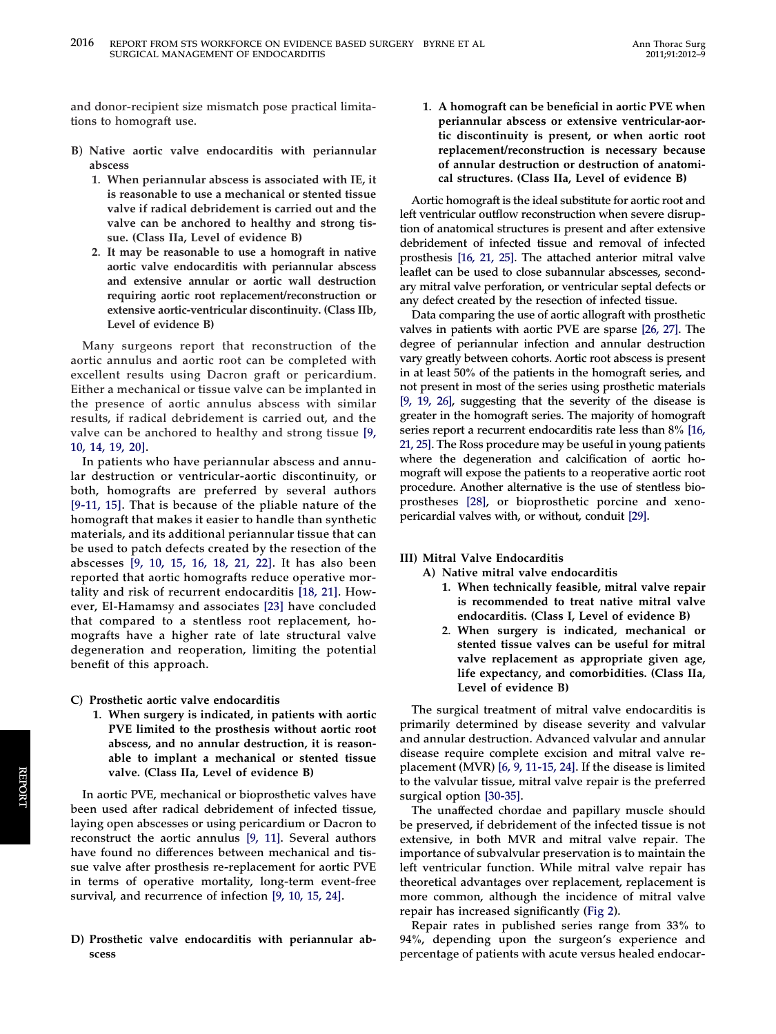**and donor-recipient size mismatch pose practical limitations to homograft use.**

- **B) Native aortic valve endocarditis with periannular abscess**
	- **1. When periannular abscess is associated with IE, it is reasonable to use a mechanical or stented tissue valve if radical debridement is carried out and the valve can be anchored to healthy and strong tissue. (Class IIa, Level of evidence B)**
	- **2. It may be reasonable to use a homograft in native aortic valve endocarditis with periannular abscess and extensive annular or aortic wall destruction requiring aortic root replacement/reconstruction or extensive aortic-ventricular discontinuity. (Class IIb, Level of evidence B)**

**Many surgeons report that reconstruction of the aortic annulus and aortic root can be completed with excellent results using Dacron graft or pericardium. Either a mechanical or tissue valve can be implanted in the presence of aortic annulus abscess with similar results, if radical debridement is carried out, and the valve can be anchored to healthy and strong tissue [\[9,](#page-6-7) [10, 14, 19, 20\].](#page-6-7)**

**In patients who have periannular abscess and annular destruction or ventricular-aortic discontinuity, or both, homografts are preferred by several authors [\[9-11, 15\].](#page-6-7) That is because of the pliable nature of the homograft that makes it easier to handle than synthetic materials, and its additional periannular tissue that can be used to patch defects created by the resection of the abscesses [\[9, 10, 15, 16, 18, 21, 22\].](#page-6-7) It has also been reported that aortic homografts reduce operative mortality and risk of recurrent endocarditis [\[18, 21\].](#page-7-3) However, El-Hamamsy and associates [\[23\]](#page-7-4) have concluded that compared to a stentless root replacement, homografts have a higher rate of late structural valve degeneration and reoperation, limiting the potential benefit of this approach.**

#### **C) Prosthetic aortic valve endocarditis**

**1. When surgery is indicated, in patients with aortic PVE limited to the prosthesis without aortic root abscess, and no annular destruction, it is reasonable to implant a mechanical or stented tissue valve. (Class IIa, Level of evidence B)**

**In aortic PVE, mechanical or bioprosthetic valves have been used after radical debridement of infected tissue, laying open abscesses or using pericardium or Dacron to reconstruct the aortic annulus [\[9, 11\].](#page-6-7) Several authors have found no differences between mechanical and tissue valve after prosthesis re-replacement for aortic PVE in terms of operative mortality, long-term event-free survival, and recurrence of infection [\[9, 10, 15, 24\].](#page-6-7)**

**D) Prosthetic valve endocarditis with periannular abscess**

**1. A homograft can be beneficial in aortic PVE when periannular abscess or extensive ventricular-aortic discontinuity is present, or when aortic root replacement/reconstruction is necessary because of annular destruction or destruction of anatomical structures. (Class IIa, Level of evidence B)**

**Aortic homograft is the ideal substitute for aortic root and left ventricular outflow reconstruction when severe disruption of anatomical structures is present and after extensive debridement of infected tissue and removal of infected prosthesis [\[16, 21, 25\].](#page-7-2) The attached anterior mitral valve leaflet can be used to close subannular abscesses, secondary mitral valve perforation, or ventricular septal defects or any defect created by the resection of infected tissue.**

**Data comparing the use of aortic allograft with prosthetic valves in patients with aortic PVE are sparse [\[26, 27\].](#page-7-5) The degree of periannular infection and annular destruction vary greatly between cohorts. Aortic root abscess is present in at least 50% of the patients in the homograft series, and not present in most of the series using prosthetic materials [\[9, 19, 26\],](#page-6-7) suggesting that the severity of the disease is greater in the homograft series. The majority of homograft series report a recurrent endocarditis rate less than 8% [\[16,](#page-7-2) [21, 25\].](#page-7-2) The Ross procedure may be useful in young patients where the degeneration and calcification of aortic homograft will expose the patients to a reoperative aortic root procedure. Another alternative is the use of stentless bioprostheses [\[28\],](#page-7-6) or bioprosthetic porcine and xenopericardial valves with, or without, conduit [\[29\].](#page-7-7)**

## **III) Mitral Valve Endocarditis**

- **A) Native mitral valve endocarditis**
	- **1. When technically feasible, mitral valve repair is recommended to treat native mitral valve endocarditis. (Class I, Level of evidence B)**
	- **2. When surgery is indicated, mechanical or stented tissue valves can be useful for mitral valve replacement as appropriate given age, life expectancy, and comorbidities. (Class IIa, Level of evidence B)**

**The surgical treatment of mitral valve endocarditis is primarily determined by disease severity and valvular and annular destruction. Advanced valvular and annular disease require complete excision and mitral valve replacement (MVR) [\[6, 9, 11-15, 24\].](#page-6-5) If the disease is limited to the valvular tissue, mitral valve repair is the preferred surgical option [\[30-35\].](#page-7-8)**

**The unaffected chordae and papillary muscle should be preserved, if debridement of the infected tissue is not extensive, in both MVR and mitral valve repair. The importance of subvalvular preservation is to maintain the left ventricular function. While mitral valve repair has theoretical advantages over replacement, replacement is more common, although the incidence of mitral valve repair has increased significantly [\(Fig 2\)](#page-5-1).**

**Repair rates in published series range from 33% to 94%, depending upon the surgeon's experience and percentage of patients with acute versus healed endocar-**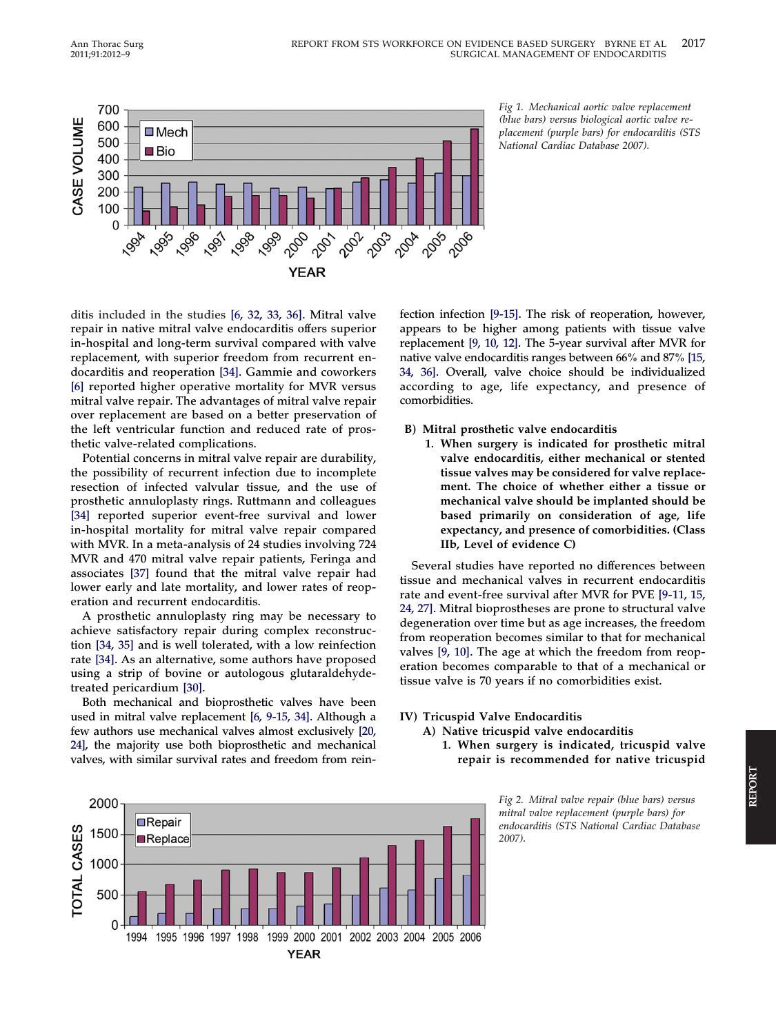

<span id="page-5-0"></span>*Fig 1. Mechanical aortic valve replacement (blue bars) versus biological aortic valve replacement (purple bars) for endocarditis (STS National Cardiac Database 2007).*

**ditis included in the studies [\[6, 32, 33, 36\].](#page-6-5) Mitral valve repair in native mitral valve endocarditis offers superior in-hospital and long-term survival compared with valve replacement, with superior freedom from recurrent endocarditis and reoperation [\[34\].](#page-7-9) Gammie and coworkers [\[6\]](#page-6-5) reported higher operative mortality for MVR versus mitral valve repair. The advantages of mitral valve repair over replacement are based on a better preservation of the left ventricular function and reduced rate of prosthetic valve-related complications.**

**Potential concerns in mitral valve repair are durability, the possibility of recurrent infection due to incomplete resection of infected valvular tissue, and the use of prosthetic annuloplasty rings. Ruttmann and colleagues [\[34\]](#page-7-9) reported superior event-free survival and lower in-hospital mortality for mitral valve repair compared with MVR. In a meta-analysis of 24 studies involving 724 MVR and 470 mitral valve repair patients, Feringa and associates [\[37\]](#page-7-10) found that the mitral valve repair had lower early and late mortality, and lower rates of reoperation and recurrent endocarditis.**

**A prosthetic annuloplasty ring may be necessary to achieve satisfactory repair during complex reconstruction [\[34, 35\]](#page-7-9) and is well tolerated, with a low reinfection rate [\[34\].](#page-7-9) As an alternative, some authors have proposed using a strip of bovine or autologous glutaraldehydetreated pericardium [\[30\].](#page-7-8)**

**Both mechanical and bioprosthetic valves have been used in mitral valve replacement [\[6, 9-15, 34\].](#page-6-5) Although a few authors use mechanical valves almost exclusively [\[20,](#page-7-11) [24\],](#page-7-11) the majority use both bioprosthetic and mechanical valves, with similar survival rates and freedom from rein-**

**fection infection [\[9-15\].](#page-6-7) The risk of reoperation, however, appears to be higher among patients with tissue valve replacement [\[9, 10, 12\].](#page-6-7) The 5-year survival after MVR for native valve endocarditis ranges between 66% and 87% [\[15,](#page-7-12) [34, 36\].](#page-7-12) Overall, valve choice should be individualized according to age, life expectancy, and presence of comorbidities.**

- **B) Mitral prosthetic valve endocarditis**
	- **1. When surgery is indicated for prosthetic mitral valve endocarditis, either mechanical or stented tissue valves may be considered for valve replacement. The choice of whether either a tissue or mechanical valve should be implanted should be based primarily on consideration of age, life expectancy, and presence of comorbidities. (Class IIb, Level of evidence C)**

**Several studies have reported no differences between tissue and mechanical valves in recurrent endocarditis rate and event-free survival after MVR for PVE [\[9-11, 15,](#page-6-7) [24, 27\].](#page-6-7) Mitral bioprostheses are prone to structural valve degeneration over time but as age increases, the freedom from reoperation becomes similar to that for mechanical valves [\[9, 10\].](#page-6-7) The age at which the freedom from reoperation becomes comparable to that of a mechanical or tissue valve is 70 years if no comorbidities exist.**

- **IV) Tricuspid Valve Endocarditis**
	- **A) Native tricuspid valve endocarditis 1. When surgery is indicated, tricuspid valve repair is recommended for native tricuspid**

<span id="page-5-1"></span>*Fig 2. Mitral valve repair (blue bars) versus mitral valve replacement (purple bars) for endocarditis (STS National Cardiac Database 2007).*

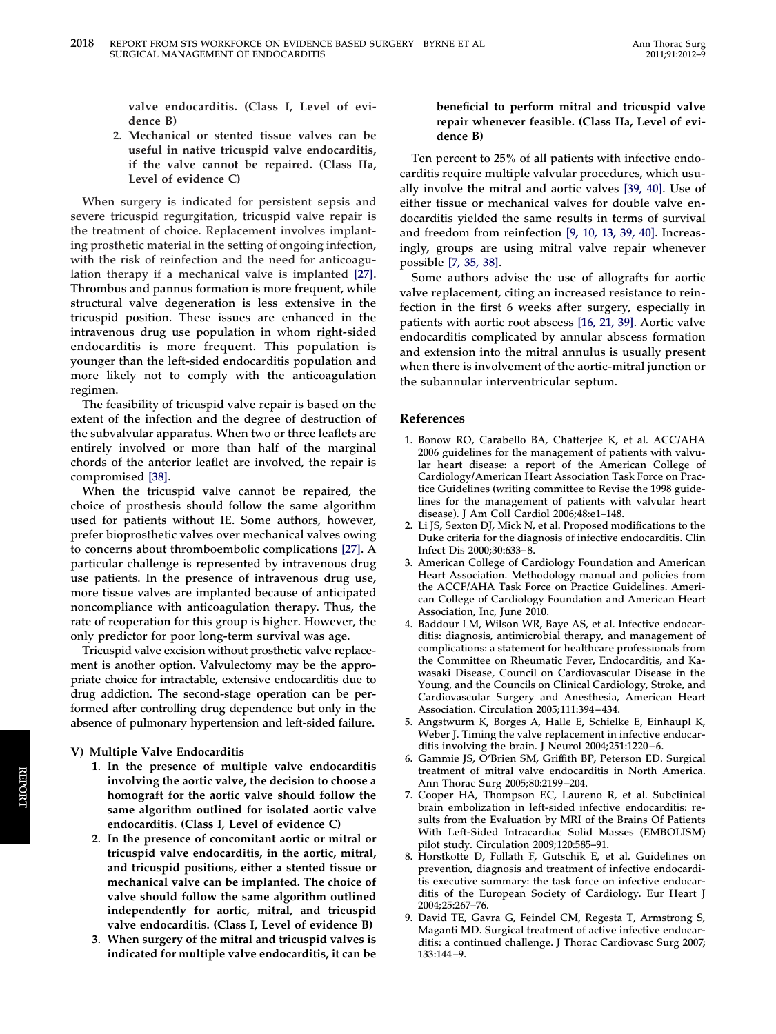**valve endocarditis. (Class I, Level of evidence B)**

**2. Mechanical or stented tissue valves can be useful in native tricuspid valve endocarditis, if the valve cannot be repaired. (Class IIa, Level of evidence C)**

**When surgery is indicated for persistent sepsis and severe tricuspid regurgitation, tricuspid valve repair is the treatment of choice. Replacement involves implanting prosthetic material in the setting of ongoing infection, with the risk of reinfection and the need for anticoagulation therapy if a mechanical valve is implanted [\[27\].](#page-7-13) Thrombus and pannus formation is more frequent, while structural valve degeneration is less extensive in the tricuspid position. These issues are enhanced in the intravenous drug use population in whom right-sided endocarditis is more frequent. This population is younger than the left-sided endocarditis population and more likely not to comply with the anticoagulation regimen.**

**The feasibility of tricuspid valve repair is based on the extent of the infection and the degree of destruction of the subvalvular apparatus. When two or three leaflets are entirely involved or more than half of the marginal chords of the anterior leaflet are involved, the repair is compromised [\[38\].](#page-7-14)**

**When the tricuspid valve cannot be repaired, the choice of prosthesis should follow the same algorithm used for patients without IE. Some authors, however, prefer bioprosthetic valves over mechanical valves owing to concerns about thromboembolic complications [\[27\].](#page-7-13) A particular challenge is represented by intravenous drug use patients. In the presence of intravenous drug use, more tissue valves are implanted because of anticipated noncompliance with anticoagulation therapy. Thus, the rate of reoperation for this group is higher. However, the only predictor for poor long-term survival was age.**

**Tricuspid valve excision without prosthetic valve replacement is another option. Valvulectomy may be the appropriate choice for intractable, extensive endocarditis due to drug addiction. The second-stage operation can be performed after controlling drug dependence but only in the absence of pulmonary hypertension and left-sided failure.**

#### **V) Multiple Valve Endocarditis**

- **1. In the presence of multiple valve endocarditis involving the aortic valve, the decision to choose a homograft for the aortic valve should follow the same algorithm outlined for isolated aortic valve endocarditis. (Class I, Level of evidence C)**
- **2. In the presence of concomitant aortic or mitral or tricuspid valve endocarditis, in the aortic, mitral, and tricuspid positions, either a stented tissue or mechanical valve can be implanted. The choice of valve should follow the same algorithm outlined independently for aortic, mitral, and tricuspid valve endocarditis. (Class I, Level of evidence B)**
- **3. When surgery of the mitral and tricuspid valves is indicated for multiple valve endocarditis, it can be**

## **beneficial to perform mitral and tricuspid valve repair whenever feasible. (Class IIa, Level of evidence B)**

**Ten percent to 25% of all patients with infective endocarditis require multiple valvular procedures, which usually involve the mitral and aortic valves [\[39, 40\].](#page-7-15) Use of either tissue or mechanical valves for double valve endocarditis yielded the same results in terms of survival and freedom from reinfection [\[9, 10, 13, 39, 40\].](#page-6-7) Increasingly, groups are using mitral valve repair whenever possible [\[7, 35, 38\].](#page-6-6)**

**Some authors advise the use of allografts for aortic valve replacement, citing an increased resistance to reinfection in the first 6 weeks after surgery, especially in patients with aortic root abscess [\[16, 21, 39\].](#page-7-2) Aortic valve endocarditis complicated by annular abscess formation and extension into the mitral annulus is usually present when there is involvement of the aortic-mitral junction or the subannular interventricular septum.**

#### <span id="page-6-0"></span>**References**

- **1. Bonow RO, Carabello BA, Chatterjee K, et al. ACC/AHA 2006 guidelines for the management of patients with valvular heart disease: a report of the American College of Cardiology/American Heart Association Task Force on Practice Guidelines (writing committee to Revise the 1998 guidelines for the management of patients with valvular heart disease). J Am Coll Cardiol 2006;48:e1–148.**
- <span id="page-6-1"></span>**2. Li JS, Sexton DJ, Mick N, et al. Proposed modifications to the Duke criteria for the diagnosis of infective endocarditis. Clin Infect Dis 2000;30:633–8.**
- <span id="page-6-2"></span>**3. American College of Cardiology Foundation and American Heart Association. Methodology manual and policies from the ACCF/AHA Task Force on Practice Guidelines. American College of Cardiology Foundation and American Heart Association, Inc, June 2010.**
- <span id="page-6-3"></span>**4. Baddour LM, Wilson WR, Baye AS, et al. Infective endocarditis: diagnosis, antimicrobial therapy, and management of complications: a statement for healthcare professionals from the Committee on Rheumatic Fever, Endocarditis, and Kawasaki Disease, Council on Cardiovascular Disease in the Young, and the Councils on Clinical Cardiology, Stroke, and Cardiovascular Surgery and Anesthesia, American Heart Association. Circulation 2005;111:394–434.**
- <span id="page-6-4"></span>**5. Angstwurm K, Borges A, Halle E, Schielke E, Einhaupl K, Weber J. Timing the valve replacement in infective endocarditis involving the brain. J Neurol 2004;251:1220–6.**
- <span id="page-6-6"></span><span id="page-6-5"></span>**6. Gammie JS, O'Brien SM, Griffith BP, Peterson ED. Surgical treatment of mitral valve endocarditis in North America. Ann Thorac Surg 2005;80:2199–204.**
- **7. Cooper HA, Thompson EC, Laureno R, et al. Subclinical brain embolization in left-sided infective endocarditis: results from the Evaluation by MRI of the Brains Of Patients With Left-Sided Intracardiac Solid Masses (EMBOLISM) pilot study. Circulation 2009;120:585–91.**
- **8. Horstkotte D, Follath F, Gutschik E, et al. Guidelines on prevention, diagnosis and treatment of infective endocarditis executive summary: the task force on infective endocarditis of the European Society of Cardiology. Eur Heart J 2004;25:267–76.**
- <span id="page-6-7"></span>**9. David TE, Gavra G, Feindel CM, Regesta T, Armstrong S, Maganti MD. Surgical treatment of active infective endocarditis: a continued challenge. J Thorac Cardiovasc Surg 2007; 133:144–9.**